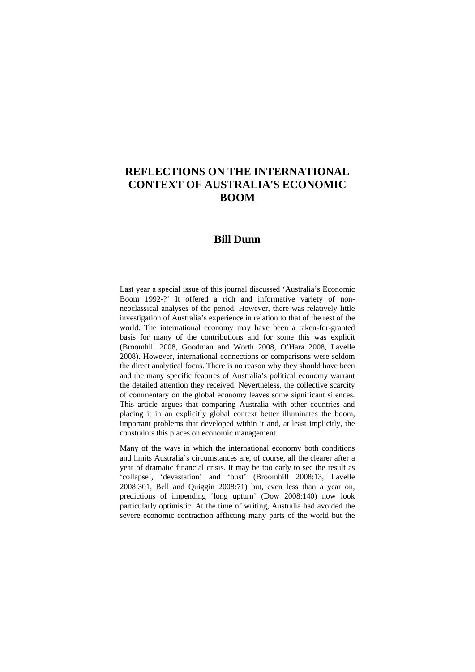# **REFLECTIONS ON THE INTERNATIONAL CONTEXT OF AUSTRALIA'S ECONOMIC BOOM**

# **Bill Dunn**

Last year a special issue of this journal discussed 'Australia's Economic Boom 1992-?' It offered a rich and informative variety of nonneoclassical analyses of the period. However, there was relatively little investigation of Australia's experience in relation to that of the rest of the world. The international economy may have been a taken-for-granted basis for many of the contributions and for some this was explicit (Broomhill 2008, Goodman and Worth 2008, O'Hara 2008, Lavelle 2008). However, international connections or comparisons were seldom the direct analytical focus. There is no reason why they should have been and the many specific features of Australia's political economy warrant the detailed attention they received. Nevertheless, the collective scarcity of commentary on the global economy leaves some significant silences. This article argues that comparing Australia with other countries and placing it in an explicitly global context better illuminates the boom, important problems that developed within it and, at least implicitly, the constraints this places on economic management.

Many of the ways in which the international economy both conditions and limits Australia's circumstances are, of course, all the clearer after a year of dramatic financial crisis. It may be too early to see the result as 'collapse', 'devastation' and 'bust' (Broomhill 2008:13, Lavelle 2008:301, Bell and Quiggin 2008:71) but, even less than a year on, predictions of impending 'long upturn' (Dow 2008:140) now look particularly optimistic. At the time of writing, Australia had avoided the severe economic contraction afflicting many parts of the world but the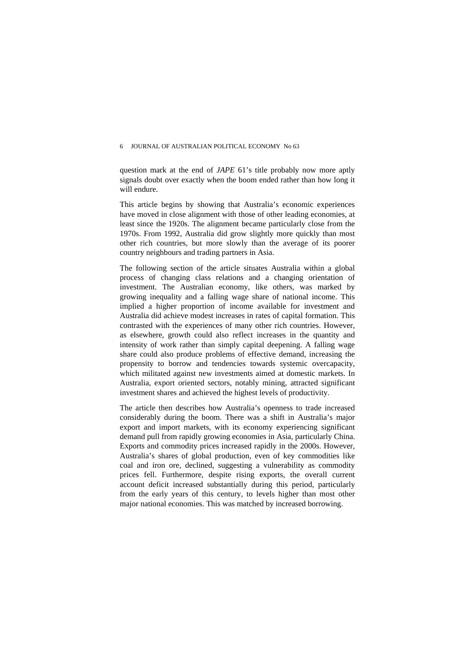#### 6 JOURNAL OF AUSTRALIAN POLITICAL ECONOMY No 63

question mark at the end of *JAPE* 61's title probably now more aptly signals doubt over exactly when the boom ended rather than how long it will endure.

This article begins by showing that Australia's economic experiences have moved in close alignment with those of other leading economies, at least since the 1920s. The alignment became particularly close from the 1970s. From 1992, Australia did grow slightly more quickly than most other rich countries, but more slowly than the average of its poorer country neighbours and trading partners in Asia.

The following section of the article situates Australia within a global process of changing class relations and a changing orientation of investment. The Australian economy, like others, was marked by growing inequality and a falling wage share of national income. This implied a higher proportion of income available for investment and Australia did achieve modest increases in rates of capital formation. This contrasted with the experiences of many other rich countries. However, as elsewhere, growth could also reflect increases in the quantity and intensity of work rather than simply capital deepening. A falling wage share could also produce problems of effective demand, increasing the propensity to borrow and tendencies towards systemic overcapacity, which militated against new investments aimed at domestic markets. In Australia, export oriented sectors, notably mining, attracted significant investment shares and achieved the highest levels of productivity.

The article then describes how Australia's openness to trade increased considerably during the boom. There was a shift in Australia's major export and import markets, with its economy experiencing significant demand pull from rapidly growing economies in Asia, particularly China. Exports and commodity prices increased rapidly in the 2000s. However, Australia's shares of global production, even of key commodities like coal and iron ore, declined, suggesting a vulnerability as commodity prices fell. Furthermore, despite rising exports, the overall current account deficit increased substantially during this period, particularly from the early years of this century, to levels higher than most other major national economies. This was matched by increased borrowing.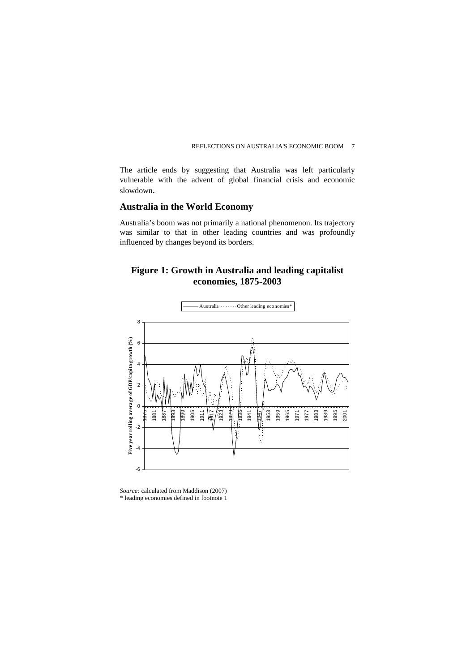The article ends by suggesting that Australia was left particularly vulnerable with the advent of global financial crisis and economic slowdown.

#### **Australia in the World Economy**

Australia's boom was not primarily a national phenomenon. Its trajectory was similar to that in other leading countries and was profoundly influenced by changes beyond its borders.

# **Figure 1: Growth in Australia and leading capitalist economies, 1875-2003**



*Source:* calculated from Maddison (2007) \* leading economies defined in footnote 1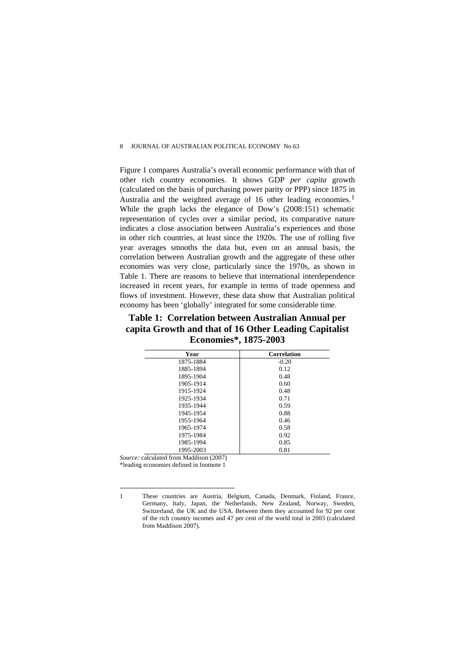Figure 1 compares Australia's overall economic performance with that of other rich country economies. It shows GDP *per capita* growth (calculated on the basis of purchasing power parity or PPP) since 1875 in Australia and the weighted average of [1](#page-3-0)6 other leading economies.<sup>1</sup> While the graph lacks the elegance of Dow's (2008:151) schematic representation of cycles over a similar period, its comparative nature indicates a close association between Australia's experiences and those in other rich countries, at least since the 1920s. The use of rolling five year averages smooths the data but, even on an annual basis, the correlation between Australian growth and the aggregate of these other economies was very close, particularly since the 1970s, as shown in Table 1. There are reasons to believe that international interdependence increased in recent years, for example in terms of trade openness and flows of investment. However, these data show that Australian political economy has been 'globally' integrated for some considerable time.

**Table 1: Correlation between Australian Annual per capita Growth and that of 16 Other Leading Capitalist Economies\*, 1875-2003** 

| Year      | <b>Correlation</b> |
|-----------|--------------------|
| 1875-1884 | $-0.20$            |
| 1885-1894 | 0.12               |
| 1895-1904 | 0.48               |
| 1905-1914 | 0.60               |
| 1915-1924 | 0.48               |
| 1925-1934 | 0.71               |
| 1935-1944 | 0.59               |
| 1945-1954 | 0.88               |
| 1955-1964 | 0.46               |
| 1965-1974 | 0.58               |
| 1975-1984 | 0.92               |
| 1985-1994 | 0.85               |
| 1995-2003 | 0.81               |

*Source:* calculated from Maddison (2007)

\*leading economies defined in footnote 1

 $\overline{a}$ 

<span id="page-3-0"></span><sup>1</sup> These countries are Austria, Belgium, Canada, Denmark, Finland, France, Germany, Italy, Japan, the Netherlands, New Zealand, Norway, Sweden, Switzerland, the UK and the USA. Between them they accounted for 92 per cent of the rich country incomes and 47 per cent of the world total in 2003 (calculated from Maddison 2007).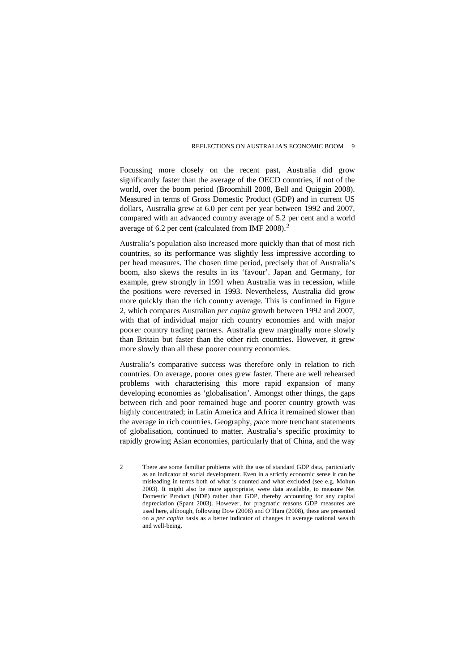Focussing more closely on the recent past, Australia did grow significantly faster than the average of the OECD countries, if not of the world, over the boom period (Broomhill 2008, Bell and Quiggin 2008). Measured in terms of Gross Domestic Product (GDP) and in current US dollars, Australia grew at 6.0 per cent per year between 1992 and 2007, compared with an advanced country average of 5.2 per cent and a world average of 6.2 per cent (calculated from IMF 2008).[2](#page-4-0)

Australia's population also increased more quickly than that of most rich countries, so its performance was slightly less impressive according to per head measures. The chosen time period, precisely that of Australia's boom, also skews the results in its 'favour'. Japan and Germany, for example, grew strongly in 1991 when Australia was in recession, while the positions were reversed in 1993. Nevertheless, Australia did grow more quickly than the rich country average. This is confirmed in Figure 2, which compares Australian *per capita* growth between 1992 and 2007, with that of individual major rich country economies and with major poorer country trading partners. Australia grew marginally more slowly than Britain but faster than the other rich countries. However, it grew more slowly than all these poorer country economies.

Australia's comparative success was therefore only in relation to rich countries. On average, poorer ones grew faster. There are well rehearsed problems with characterising this more rapid expansion of many developing economies as 'globalisation'. Amongst other things, the gaps between rich and poor remained huge and poorer country growth was highly concentrated; in Latin America and Africa it remained slower than the average in rich countries. Geography, *pace* more trenchant statements of globalisation, continued to matter. Australia's specific proximity to rapidly growing Asian economies, particularly that of China, and the way

 $\overline{a}$ 

<span id="page-4-0"></span><sup>2</sup> There are some familiar problems with the use of standard GDP data, particularly as an indicator of social development. Even in a strictly economic sense it can be misleading in terms both of what is counted and what excluded (see e.g. Mohun 2003). It might also be more appropriate, were data available, to measure Net Domestic Product (NDP) rather than GDP, thereby accounting for any capital depreciation (Spant 2003). However, for pragmatic reasons GDP measures are used here, although, following Dow (2008) and O'Hara (2008), these are presented on a *per capita* basis as a better indicator of changes in average national wealth and well-being.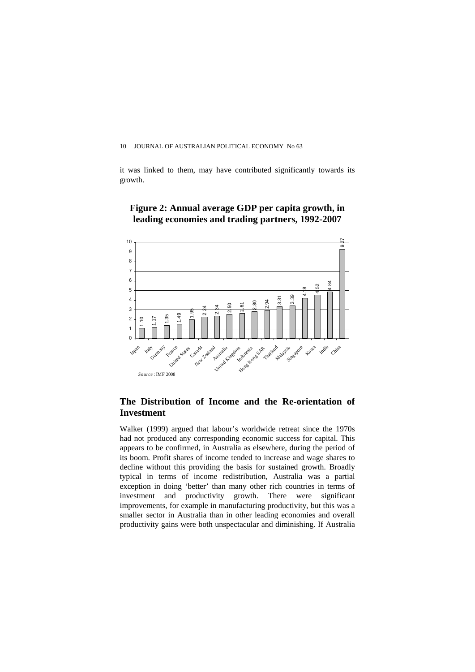it was linked to them, may have contributed significantly towards its growth.

# **Figure 2: Annual average GDP per capita growth, in leading economies and trading partners, 1992-2007**



#### **The Distribution of Income and the Re-orientation of Investment**

Walker (1999) argued that labour's worldwide retreat since the 1970s had not produced any corresponding economic success for capital. This appears to be confirmed, in Australia as elsewhere, during the period of its boom. Profit shares of income tended to increase and wage shares to decline without this providing the basis for sustained growth. Broadly typical in terms of income redistribution, Australia was a partial exception in doing 'better' than many other rich countries in terms of investment and productivity growth. There were significant improvements, for example in manufacturing productivity, but this was a smaller sector in Australia than in other leading economies and overall productivity gains were both unspectacular and diminishing. If Australia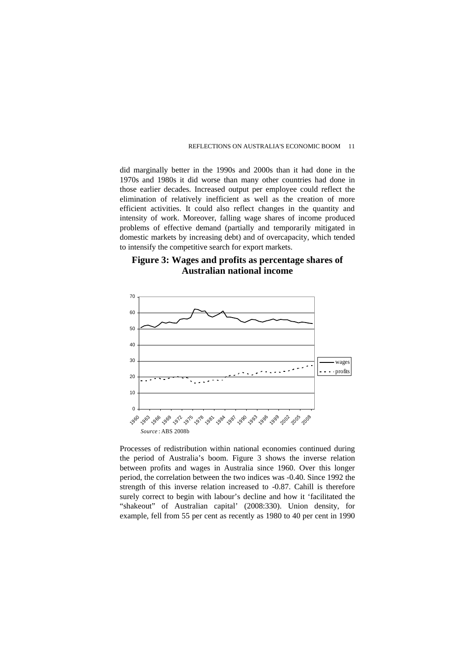did marginally better in the 1990s and 2000s than it had done in the 1970s and 1980s it did worse than many other countries had done in those earlier decades. Increased output per employee could reflect the elimination of relatively inefficient as well as the creation of more efficient activities. It could also reflect changes in the quantity and intensity of work. Moreover, falling wage shares of income produced problems of effective demand (partially and temporarily mitigated in domestic markets by increasing debt) and of overcapacity, which tended to intensify the competitive search for export markets.

### **Figure 3: Wages and profits as percentage shares of Australian national income**



Processes of redistribution within national economies continued during the period of Australia's boom. Figure 3 shows the inverse relation between profits and wages in Australia since 1960. Over this longer period, the correlation between the two indices was -0.40. Since 1992 the strength of this inverse relation increased to -0.87. Cahill is therefore surely correct to begin with labour's decline and how it 'facilitated the "shakeout" of Australian capital' (2008:330). Union density, for example, fell from 55 per cent as recently as 1980 to 40 per cent in 1990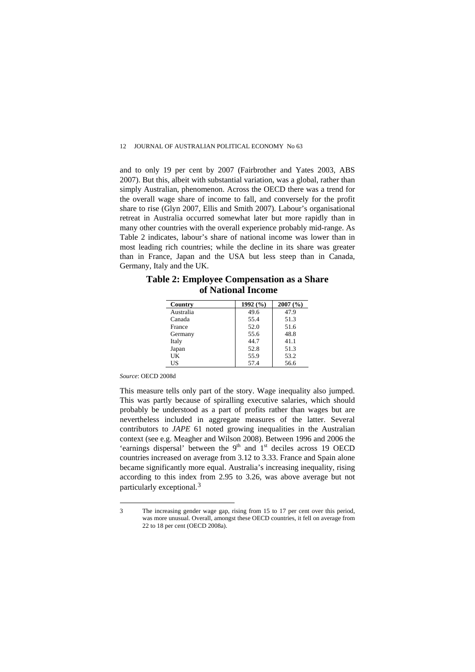and to only 19 per cent by 2007 (Fairbrother and Yates 2003, ABS 2007). But this, albeit with substantial variation, was a global, rather than simply Australian, phenomenon. Across the OECD there was a trend for the overall wage share of income to fall, and conversely for the profit share to rise (Glyn 2007, Ellis and Smith 2007). Labour's organisational retreat in Australia occurred somewhat later but more rapidly than in many other countries with the overall experience probably mid-range. As Table 2 indicates, labour's share of national income was lower than in most leading rich countries; while the decline in its share was greater than in France, Japan and the USA but less steep than in Canada, Germany, Italy and the UK.

| Country   | 1992 $(%$ | 2007(%) |
|-----------|-----------|---------|
| Australia | 49.6      | 47.9    |
| Canada    | 55.4      | 51.3    |
| France    | 52.0      | 51.6    |
| Germany   | 55.6      | 48.8    |
| Italy     | 44.7      | 41.1    |
| Japan     | 52.8      | 51.3    |
| UK        | 55.9      | 53.2    |
| US        | 57.4      | 56.6    |

# **Table 2: Employee Compensation as a Share of National Income**

*Source*: OECD 2008d

 $\overline{a}$ 

This measure tells only part of the story. Wage inequality also jumped. This was partly because of spiralling executive salaries, which should probably be understood as a part of profits rather than wages but are nevertheless included in aggregate measures of the latter. Several contributors to *JAPE* 61 noted growing inequalities in the Australian context (see e.g. Meagher and Wilson 2008). Between 1996 and 2006 the 'earnings dispersal' between the  $9<sup>th</sup>$  and  $1<sup>st</sup>$  deciles across 19 OECD countries increased on average from 3.12 to 3.33. France and Spain alone became significantly more equal. Australia's increasing inequality, rising according to this index from 2.95 to 3.26, was above average but not particularly exceptional.[3](#page-7-0)

<span id="page-7-0"></span><sup>3</sup> The increasing gender wage gap, rising from 15 to 17 per cent over this period, was more unusual. Overall, amongst these OECD countries, it fell on average from 22 to 18 per cent (OECD 2008a).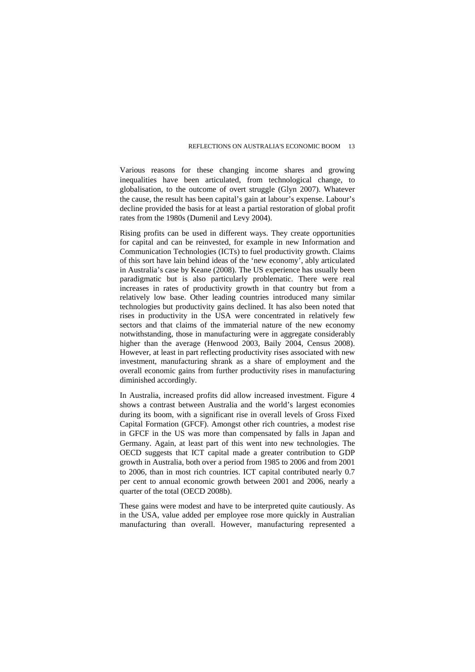Various reasons for these changing income shares and growing inequalities have been articulated, from technological change, to globalisation, to the outcome of overt struggle (Glyn 2007). Whatever the cause, the result has been capital's gain at labour's expense. Labour's decline provided the basis for at least a partial restoration of global profit rates from the 1980s (Dumenil and Levy 2004).

Rising profits can be used in different ways. They create opportunities for capital and can be reinvested, for example in new Information and Communication Technologies (ICTs) to fuel productivity growth. Claims of this sort have lain behind ideas of the 'new economy', ably articulated in Australia's case by Keane (2008). The US experience has usually been paradigmatic but is also particularly problematic. There were real increases in rates of productivity growth in that country but from a relatively low base. Other leading countries introduced many similar technologies but productivity gains declined. It has also been noted that rises in productivity in the USA were concentrated in relatively few sectors and that claims of the immaterial nature of the new economy notwithstanding, those in manufacturing were in aggregate considerably higher than the average (Henwood 2003, Baily 2004, Census 2008). However, at least in part reflecting productivity rises associated with new investment, manufacturing shrank as a share of employment and the overall economic gains from further productivity rises in manufacturing diminished accordingly.

In Australia, increased profits did allow increased investment. Figure 4 shows a contrast between Australia and the world's largest economies during its boom, with a significant rise in overall levels of Gross Fixed Capital Formation (GFCF). Amongst other rich countries, a modest rise in GFCF in the US was more than compensated by falls in Japan and Germany. Again, at least part of this went into new technologies. The OECD suggests that ICT capital made a greater contribution to GDP growth in Australia, both over a period from 1985 to 2006 and from 2001 to 2006, than in most rich countries. ICT capital contributed nearly 0.7 per cent to annual economic growth between 2001 and 2006, nearly a quarter of the total (OECD 2008b).

These gains were modest and have to be interpreted quite cautiously. As in the USA, value added per employee rose more quickly in Australian manufacturing than overall. However, manufacturing represented a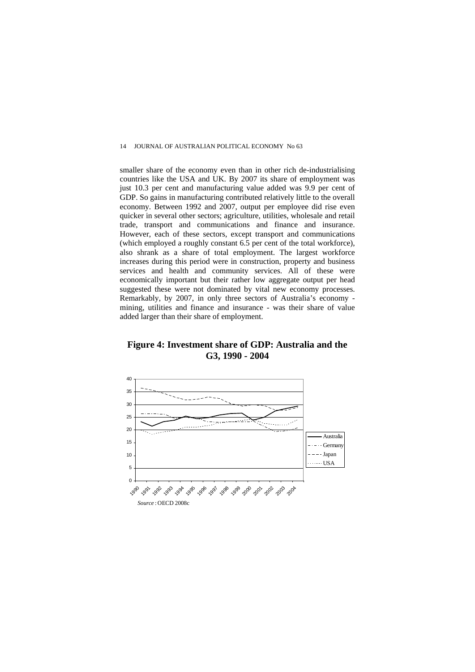smaller share of the economy even than in other rich de-industrialising countries like the USA and UK. By 2007 its share of employment was just 10.3 per cent and manufacturing value added was 9.9 per cent of GDP. So gains in manufacturing contributed relatively little to the overall economy. Between 1992 and 2007, output per employee did rise even quicker in several other sectors; agriculture, utilities, wholesale and retail trade, transport and communications and finance and insurance. However, each of these sectors, except transport and communications (which employed a roughly constant 6.5 per cent of the total workforce), also shrank as a share of total employment. The largest workforce increases during this period were in construction, property and business services and health and community services. All of these were economically important but their rather low aggregate output per head suggested these were not dominated by vital new economy processes. Remarkably, by 2007, in only three sectors of Australia's economy mining, utilities and finance and insurance - was their share of value added larger than their share of employment.

## **Figure 4: Investment share of GDP: Australia and the G3, 1990 - 2004**

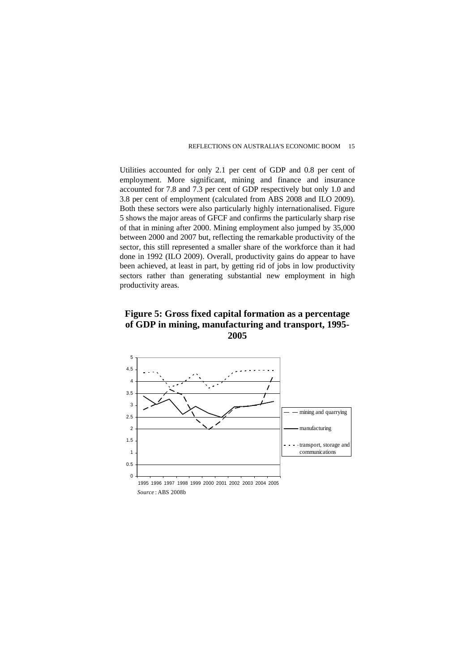Utilities accounted for only 2.1 per cent of GDP and 0.8 per cent of employment. More significant, mining and finance and insurance accounted for 7.8 and 7.3 per cent of GDP respectively but only 1.0 and 3.8 per cent of employment (calculated from ABS 2008 and ILO 2009). Both these sectors were also particularly highly internationalised. Figure 5 shows the major areas of GFCF and confirms the particularly sharp rise of that in mining after 2000. Mining employment also jumped by 35,000 between 2000 and 2007 but, reflecting the remarkable productivity of the sector, this still represented a smaller share of the workforce than it had done in 1992 (ILO 2009). Overall, productivity gains do appear to have been achieved, at least in part, by getting rid of jobs in low productivity sectors rather than generating substantial new employment in high productivity areas.

#### **Figure 5: Gross fixed capital formation as a percentage of GDP in mining, manufacturing and transport, 1995- 2005**

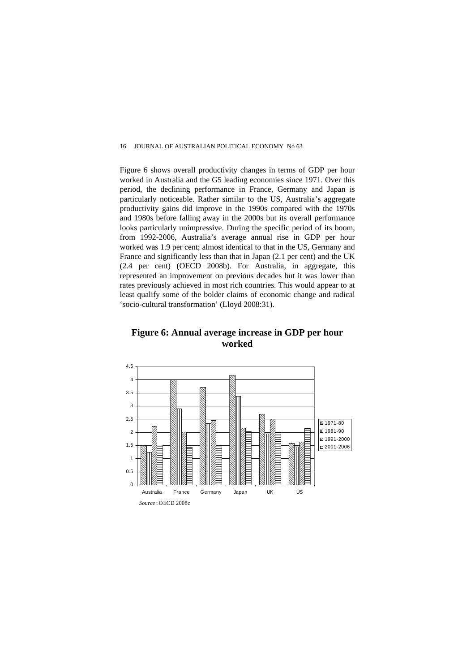Figure 6 shows overall productivity changes in terms of GDP per hour worked in Australia and the G5 leading economies since 1971. Over this period, the declining performance in France, Germany and Japan is particularly noticeable. Rather similar to the US, Australia's aggregate productivity gains did improve in the 1990s compared with the 1970s and 1980s before falling away in the 2000s but its overall performance looks particularly unimpressive. During the specific period of its boom, from 1992-2006, Australia's average annual rise in GDP per hour worked was 1.9 per cent; almost identical to that in the US, Germany and France and significantly less than that in Japan (2.1 per cent) and the UK (2.4 per cent) (OECD 2008b). For Australia, in aggregate, this represented an improvement on previous decades but it was lower than rates previously achieved in most rich countries. This would appear to at least qualify some of the bolder claims of economic change and radical 'socio-cultural transformation' (Lloyd 2008:31).

**Figure 6: Annual average increase in GDP per hour worked** 

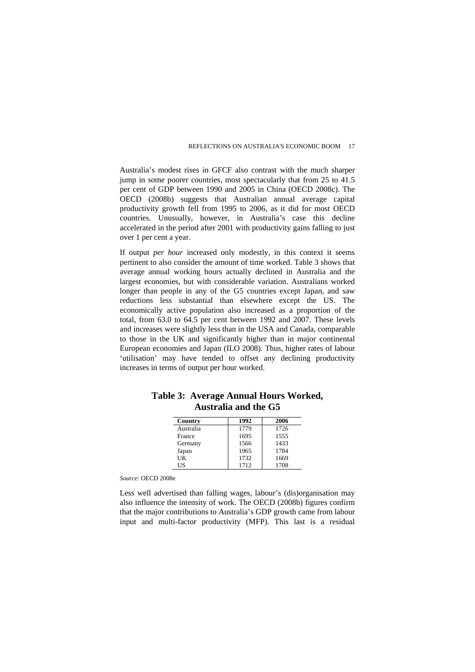Australia's modest rises in GFCF also contrast with the much sharper jump in some poorer countries, most spectacularly that from 25 to 41.5 per cent of GDP between 1990 and 2005 in China (OECD 2008c). The OECD (2008b) suggests that Australian annual average capital productivity growth fell from 1995 to 2006, as it did for most OECD countries. Unusually, however, in Australia's case this decline accelerated in the period after 2001 with productivity gains falling to just over 1 per cent a year.

If output *per hour* increased only modestly, in this context it seems pertinent to also consider the amount of time worked. Table 3 shows that average annual working hours actually declined in Australia and the largest economies, but with considerable variation. Australians worked longer than people in any of the G5 countries except Japan, and saw reductions less substantial than elsewhere except the US. The economically active population also increased as a proportion of the total, from 63.0 to 64.5 per cent between 1992 and 2007. These levels and increases were slightly less than in the USA and Canada, comparable to those in the UK and significantly higher than in major continental European economies and Japan (ILO 2008). Thus, higher rates of labour 'utilisation' may have tended to offset any declining productivity increases in terms of output per hour worked.

| Country   | 1992 | 2006 |
|-----------|------|------|
| Australia | 1779 | 1726 |
| France    | 1695 | 1555 |
| Germany   | 1566 | 1433 |
| Japan     | 1965 | 1784 |
| UK        | 1732 | 1669 |
| US        | 1712 | 1708 |

#### **Table 3: Average Annual Hours Worked, Australia and the G5**

*Source*: OECD 2008e

Less well advertised than falling wages, labour's (dis)organisation may also influence the intensity of work. The OECD (2008b) figures confirm that the major contributions to Australia's GDP growth came from labour input and multi-factor productivity (MFP). This last is a residual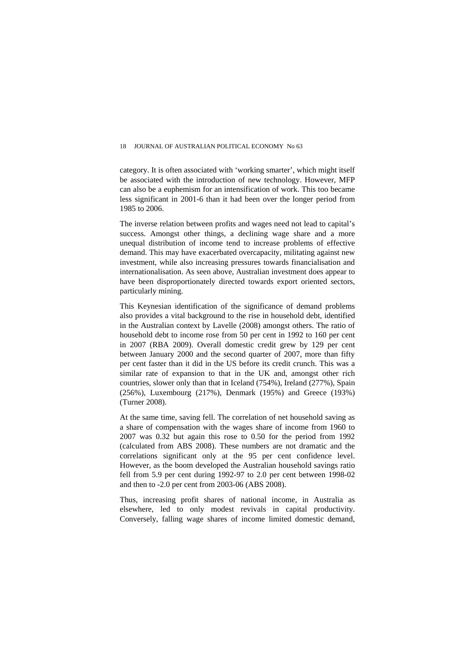#### 18 JOURNAL OF AUSTRALIAN POLITICAL ECONOMY No 63

category. It is often associated with 'working smarter', which might itself be associated with the introduction of new technology. However, MFP can also be a euphemism for an intensification of work. This too became less significant in 2001-6 than it had been over the longer period from 1985 to 2006.

The inverse relation between profits and wages need not lead to capital's success. Amongst other things, a declining wage share and a more unequal distribution of income tend to increase problems of effective demand. This may have exacerbated overcapacity, militating against new investment, while also increasing pressures towards financialisation and internationalisation. As seen above, Australian investment does appear to have been disproportionately directed towards export oriented sectors, particularly mining.

This Keynesian identification of the significance of demand problems also provides a vital background to the rise in household debt, identified in the Australian context by Lavelle (2008) amongst others. The ratio of household debt to income rose from 50 per cent in 1992 to 160 per cent in 2007 (RBA 2009). Overall domestic credit grew by 129 per cent between January 2000 and the second quarter of 2007, more than fifty per cent faster than it did in the US before its credit crunch. This was a similar rate of expansion to that in the UK and, amongst other rich countries, slower only than that in Iceland (754%), Ireland (277%), Spain (256%), Luxembourg (217%), Denmark (195%) and Greece (193%) (Turner 2008).

At the same time, saving fell. The correlation of net household saving as a share of compensation with the wages share of income from 1960 to 2007 was 0.32 but again this rose to 0.50 for the period from 1992 (calculated from ABS 2008). These numbers are not dramatic and the correlations significant only at the 95 per cent confidence level. However, as the boom developed the Australian household savings ratio fell from 5.9 per cent during 1992-97 to 2.0 per cent between 1998-02 and then to -2.0 per cent from 2003-06 (ABS 2008).

Thus, increasing profit shares of national income, in Australia as elsewhere, led to only modest revivals in capital productivity. Conversely, falling wage shares of income limited domestic demand,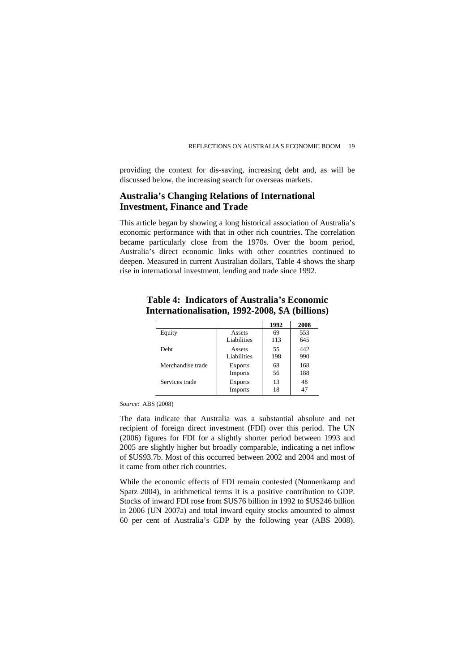providing the context for dis-saving, increasing debt and, as will be discussed below, the increasing search for overseas markets.

## **Australia's Changing Relations of International Investment, Finance and Trade**

This article began by showing a long historical association of Australia's economic performance with that in other rich countries. The correlation became particularly close from the 1970s. Over the boom period, Australia's direct economic links with other countries continued to deepen. Measured in current Australian dollars, Table 4 shows the sharp rise in international investment, lending and trade since 1992.

#### **Table 4: Indicators of Australia's Economic Internationalisation, 1992-2008, \$A (billions)**

|                   |                                  | 1992     | 2008 |
|-------------------|----------------------------------|----------|------|
| Equity            | Assets                           | 69       | 553  |
|                   | Liabilities                      | 113      | 645  |
| <b>Debt</b>       | Assets                           | 55       | 442  |
|                   | Liabilities                      | 198      | 990  |
| Merchandise trade | <b>Exports</b>                   | 68       | 168  |
|                   | Imports                          | 56       | 188  |
| Services trade    | <b>Exports</b><br><b>Imports</b> | 13<br>18 | 48   |

*Source*: ABS (2008)

The data indicate that Australia was a substantial absolute and net recipient of foreign direct investment (FDI) over this period. The UN (2006) figures for FDI for a slightly shorter period between 1993 and 2005 are slightly higher but broadly comparable, indicating a net inflow of \$US93.7b. Most of this occurred between 2002 and 2004 and most of it came from other rich countries.

While the economic effects of FDI remain contested (Nunnenkamp and Spatz 2004), in arithmetical terms it is a positive contribution to GDP. Stocks of inward FDI rose from \$US76 billion in 1992 to \$US246 billion in 2006 (UN 2007a) and total inward equity stocks amounted to almost 60 per cent of Australia's GDP by the following year (ABS 2008).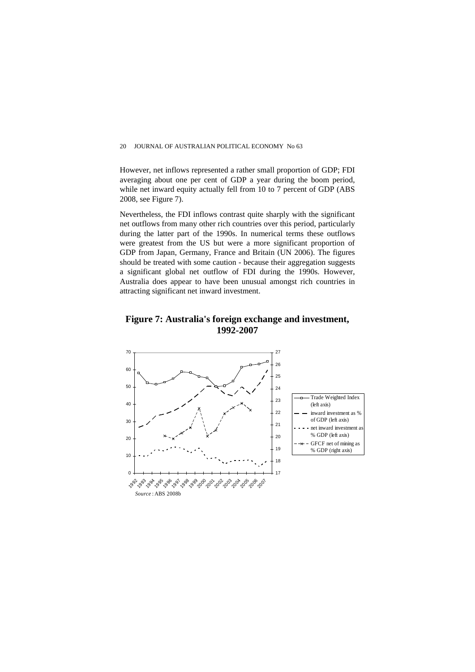#### 20 JOURNAL OF AUSTRALIAN POLITICAL ECONOMY No 63

However, net inflows represented a rather small proportion of GDP; FDI averaging about one per cent of GDP a year during the boom period, while net inward equity actually fell from 10 to 7 percent of GDP (ABS) 2008, see Figure 7).

Nevertheless, the FDI inflows contrast quite sharply with the significant net outflows from many other rich countries over this period, particularly during the latter part of the 1990s. In numerical terms these outflows were greatest from the US but were a more significant proportion of GDP from Japan, Germany, France and Britain (UN 2006). The figures should be treated with some caution - because their aggregation suggests a significant global net outflow of FDI during the 1990s. However, Australia does appear to have been unusual amongst rich countries in attracting significant net inward investment.

#### **Figure 7: Australia's foreign exchange and investment, 1992-2007**

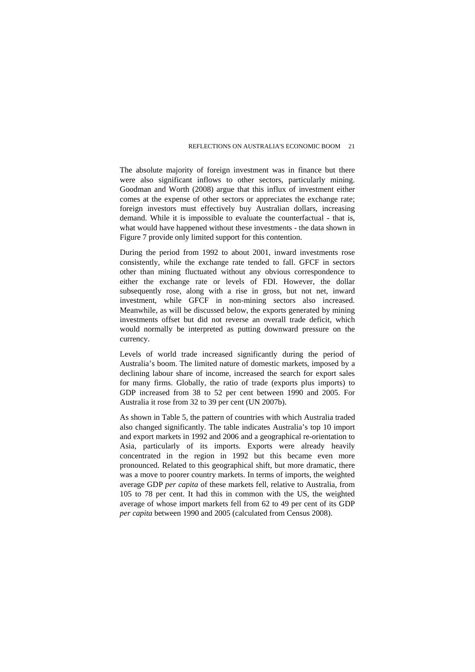The absolute majority of foreign investment was in finance but there were also significant inflows to other sectors, particularly mining. Goodman and Worth (2008) argue that this influx of investment either comes at the expense of other sectors or appreciates the exchange rate; foreign investors must effectively buy Australian dollars, increasing demand. While it is impossible to evaluate the counterfactual - that is, what would have happened without these investments - the data shown in Figure 7 provide only limited support for this contention.

During the period from 1992 to about 2001, inward investments rose consistently, while the exchange rate tended to fall. GFCF in sectors other than mining fluctuated without any obvious correspondence to either the exchange rate or levels of FDI. However, the dollar subsequently rose, along with a rise in gross, but not net, inward investment, while GFCF in non-mining sectors also increased. Meanwhile, as will be discussed below, the exports generated by mining investments offset but did not reverse an overall trade deficit, which would normally be interpreted as putting downward pressure on the currency.

Levels of world trade increased significantly during the period of Australia's boom. The limited nature of domestic markets, imposed by a declining labour share of income, increased the search for export sales for many firms. Globally, the ratio of trade (exports plus imports) to GDP increased from 38 to 52 per cent between 1990 and 2005. For Australia it rose from 32 to 39 per cent (UN 2007b).

As shown in Table 5, the pattern of countries with which Australia traded also changed significantly. The table indicates Australia's top 10 import and export markets in 1992 and 2006 and a geographical re-orientation to Asia, particularly of its imports. Exports were already heavily concentrated in the region in 1992 but this became even more pronounced. Related to this geographical shift, but more dramatic, there was a move to poorer country markets. In terms of imports, the weighted average GDP *per capita* of these markets fell, relative to Australia, from 105 to 78 per cent. It had this in common with the US, the weighted average of whose import markets fell from 62 to 49 per cent of its GDP *per capita* between 1990 and 2005 (calculated from Census 2008).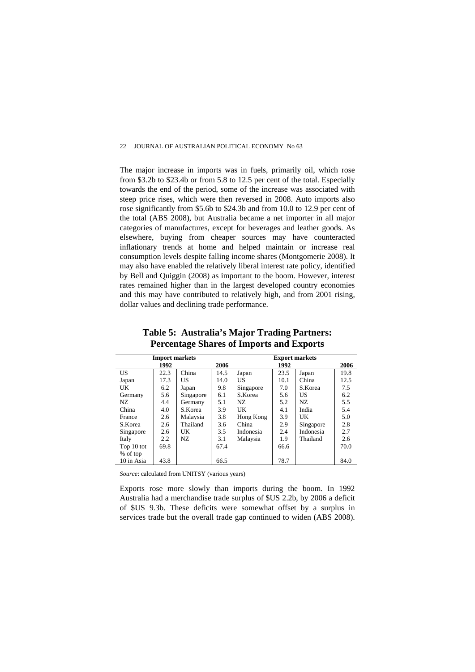The major increase in imports was in fuels, primarily oil, which rose from \$3.2b to \$23.4b or from 5.8 to 12.5 per cent of the total. Especially towards the end of the period, some of the increase was associated with steep price rises, which were then reversed in 2008. Auto imports also rose significantly from \$5.6b to \$24.3b and from 10.0 to 12.9 per cent of the total (ABS 2008), but Australia became a net importer in all major categories of manufactures, except for beverages and leather goods. As elsewhere, buying from cheaper sources may have counteracted inflationary trends at home and helped maintain or increase real consumption levels despite falling income shares (Montgomerie 2008). It may also have enabled the relatively liberal interest rate policy, identified by Bell and Quiggin (2008) as important to the boom. However, interest rates remained higher than in the largest developed country economies and this may have contributed to relatively high, and from 2001 rising, dollar values and declining trade performance.

| <b>Import markets</b> |               | <b>Export markets</b> |      |           |      |           |      |
|-----------------------|---------------|-----------------------|------|-----------|------|-----------|------|
|                       | 1992          |                       | 2006 |           | 1992 |           | 2006 |
| US                    | 22.3          | China                 | 14.5 | Japan     | 23.5 | Japan     | 19.8 |
| Japan                 | 17.3          | US                    | 14.0 | US        | 10.1 | China     | 12.5 |
| UK                    | 6.2           | Japan                 | 9.8  | Singapore | 7.0  | S.Korea   | 7.5  |
| Germany               | 5.6           | Singapore             | 6.1  | S.Korea   | 5.6  | US        | 6.2  |
| NZ.                   | 4.4           | Germany               | 5.1  | NZ.       | 5.2  | NZ.       | 5.5  |
| China                 | 4.0           | S.Korea               | 3.9  | UK        | 4.1  | India     | 5.4  |
| France                | 2.6           | Malaysia              | 3.8  | Hong Kong | 3.9  | UK        | 5.0  |
| S.Korea               | 2.6           | Thailand              | 3.6  | China     | 2.9  | Singapore | 2.8  |
| Singapore             | 2.6           | UK                    | 3.5  | Indonesia | 2.4  | Indonesia | 2.7  |
| Italy                 | $2.2^{\circ}$ | NZ.                   | 3.1  | Malaysia  | 1.9  | Thailand  | 2.6  |
| Top 10 tot            | 69.8          |                       | 67.4 |           | 66.6 |           | 70.0 |
| % of top              |               |                       |      |           |      |           |      |
| 10 in Asia            | 43.8          |                       | 66.5 |           | 78.7 |           | 84.0 |

**Table 5: Australia's Major Trading Partners: Percentage Shares of Imports and Exports** 

*Source*: calculated from UNITSY (various years)

Exports rose more slowly than imports during the boom. In 1992 Australia had a merchandise trade surplus of \$US 2.2b, by 2006 a deficit of \$US 9.3b. These deficits were somewhat offset by a surplus in services trade but the overall trade gap continued to widen (ABS 2008).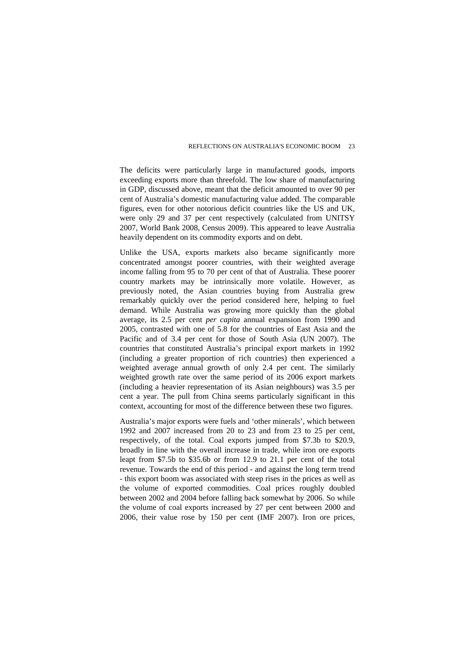The deficits were particularly large in manufactured goods, imports exceeding exports more than threefold. The low share of manufacturing in GDP, discussed above, meant that the deficit amounted to over 90 per cent of Australia's domestic manufacturing value added. The comparable figures, even for other notorious deficit countries like the US and UK, were only 29 and 37 per cent respectively (calculated from UNITSY 2007, World Bank 2008, Census 2009). This appeared to leave Australia heavily dependent on its commodity exports and on debt.

Unlike the USA, exports markets also became significantly more concentrated amongst poorer countries, with their weighted average income falling from 95 to 70 per cent of that of Australia. These poorer country markets may be intrinsically more volatile. However, as previously noted, the Asian countries buying from Australia grew remarkably quickly over the period considered here, helping to fuel demand. While Australia was growing more quickly than the global average, its 2.5 per cent *per capita* annual expansion from 1990 and 2005, contrasted with one of 5.8 for the countries of East Asia and the Pacific and of 3.4 per cent for those of South Asia (UN 2007). The countries that constituted Australia's principal export markets in 1992 (including a greater proportion of rich countries) then experienced a weighted average annual growth of only 2.4 per cent. The similarly weighted growth rate over the same period of its 2006 export markets (including a heavier representation of its Asian neighbours) was 3.5 per cent a year. The pull from China seems particularly significant in this context, accounting for most of the difference between these two figures.

Australia's major exports were fuels and 'other minerals', which between 1992 and 2007 increased from 20 to 23 and from 23 to 25 per cent, respectively, of the total. Coal exports jumped from \$7.3b to \$20.9, broadly in line with the overall increase in trade, while iron ore exports leapt from \$7.5b to \$35.6b or from 12.9 to 21.1 per cent of the total revenue. Towards the end of this period - and against the long term trend - this export boom was associated with steep rises in the prices as well as the volume of exported commodities. Coal prices roughly doubled between 2002 and 2004 before falling back somewhat by 2006. So while the volume of coal exports increased by 27 per cent between 2000 and 2006, their value rose by 150 per cent (IMF 2007). Iron ore prices,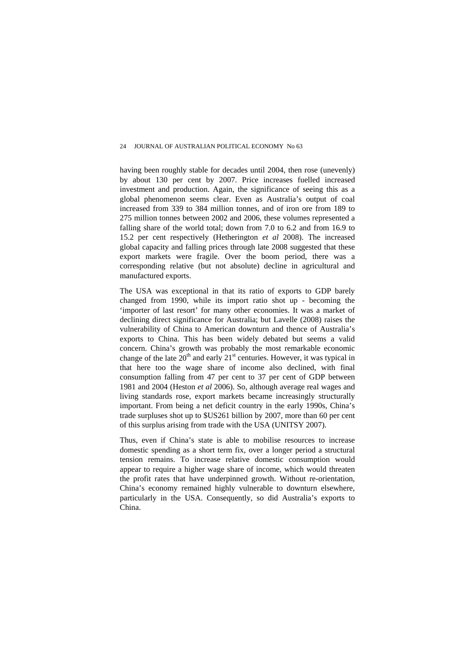having been roughly stable for decades until 2004, then rose (unevenly) by about 130 per cent by 2007. Price increases fuelled increased investment and production. Again, the significance of seeing this as a global phenomenon seems clear. Even as Australia's output of coal increased from 339 to 384 million tonnes, and of iron ore from 189 to 275 million tonnes between 2002 and 2006, these volumes represented a falling share of the world total; down from 7.0 to 6.2 and from 16.9 to 15.2 per cent respectively (Hetherington *et al* 2008). The increased global capacity and falling prices through late 2008 suggested that these export markets were fragile. Over the boom period, there was a corresponding relative (but not absolute) decline in agricultural and manufactured exports.

The USA was exceptional in that its ratio of exports to GDP barely changed from 1990, while its import ratio shot up - becoming the 'importer of last resort' for many other economies. It was a market of declining direct significance for Australia; but Lavelle (2008) raises the vulnerability of China to American downturn and thence of Australia's exports to China. This has been widely debated but seems a valid concern. China's growth was probably the most remarkable economic change of the late  $20<sup>th</sup>$  and early  $21<sup>st</sup>$  centuries. However, it was typical in that here too the wage share of income also declined, with final consumption falling from 47 per cent to 37 per cent of GDP between 1981 and 2004 (Heston *et al* 2006). So, although average real wages and living standards rose, export markets became increasingly structurally important. From being a net deficit country in the early 1990s, China's trade surpluses shot up to \$US261 billion by 2007, more than 60 per cent of this surplus arising from trade with the USA (UNITSY 2007).

Thus, even if China's state is able to mobilise resources to increase domestic spending as a short term fix, over a longer period a structural tension remains. To increase relative domestic consumption would appear to require a higher wage share of income, which would threaten the profit rates that have underpinned growth. Without re-orientation, China's economy remained highly vulnerable to downturn elsewhere, particularly in the USA. Consequently, so did Australia's exports to China.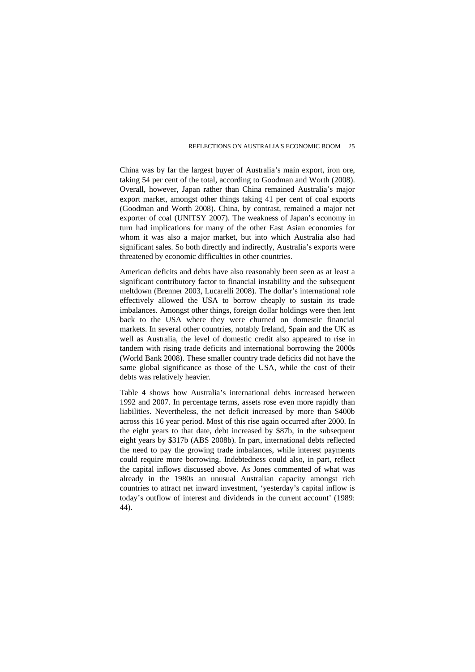China was by far the largest buyer of Australia's main export, iron ore, taking 54 per cent of the total, according to Goodman and Worth (2008). Overall, however, Japan rather than China remained Australia's major export market, amongst other things taking 41 per cent of coal exports (Goodman and Worth 2008). China, by contrast, remained a major net exporter of coal (UNITSY 2007). The weakness of Japan's economy in turn had implications for many of the other East Asian economies for whom it was also a major market, but into which Australia also had significant sales. So both directly and indirectly, Australia's exports were threatened by economic difficulties in other countries.

American deficits and debts have also reasonably been seen as at least a significant contributory factor to financial instability and the subsequent meltdown (Brenner 2003, Lucarelli 2008). The dollar's international role effectively allowed the USA to borrow cheaply to sustain its trade imbalances. Amongst other things, foreign dollar holdings were then lent back to the USA where they were churned on domestic financial markets. In several other countries, notably Ireland, Spain and the UK as well as Australia, the level of domestic credit also appeared to rise in tandem with rising trade deficits and international borrowing the 2000s (World Bank 2008). These smaller country trade deficits did not have the same global significance as those of the USA, while the cost of their debts was relatively heavier.

Table 4 shows how Australia's international debts increased between 1992 and 2007. In percentage terms, assets rose even more rapidly than liabilities. Nevertheless, the net deficit increased by more than \$400b across this 16 year period. Most of this rise again occurred after 2000. In the eight years to that date, debt increased by \$87b, in the subsequent eight years by \$317b (ABS 2008b). In part, international debts reflected the need to pay the growing trade imbalances, while interest payments could require more borrowing. Indebtedness could also, in part, reflect the capital inflows discussed above. As Jones commented of what was already in the 1980s an unusual Australian capacity amongst rich countries to attract net inward investment, 'yesterday's capital inflow is today's outflow of interest and dividends in the current account' (1989: 44).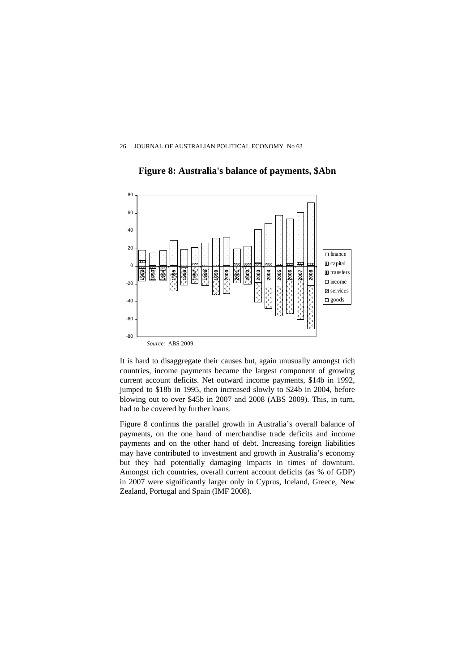



It is hard to disaggregate their causes but, again unusually amongst rich countries, income payments became the largest component of growing current account deficits. Net outward income payments, \$14b in 1992, jumped to \$18b in 1995, then increased slowly to \$24b in 2004, before blowing out to over \$45b in 2007 and 2008 (ABS 2009). This, in turn, had to be covered by further loans.

Figure 8 confirms the parallel growth in Australia's overall balance of payments, on the one hand of merchandise trade deficits and income payments and on the other hand of debt. Increasing foreign liabilities may have contributed to investment and growth in Australia's economy but they had potentially damaging impacts in times of downturn. Amongst rich countries, overall current account deficits (as % of GDP) in 2007 were significantly larger only in Cyprus, Iceland, Greece, New Zealand, Portugal and Spain (IMF 2008).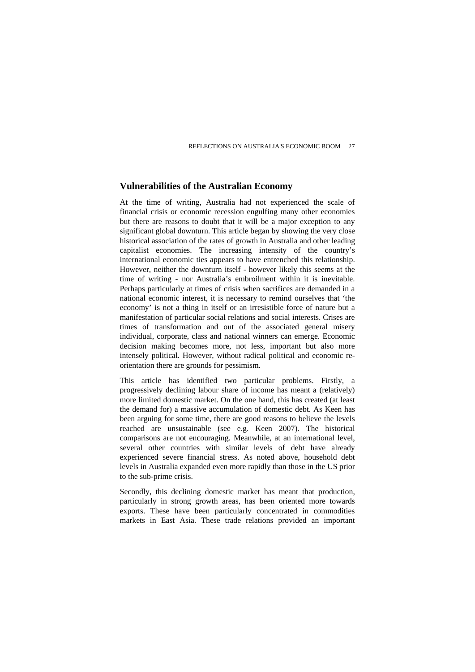#### **Vulnerabilities of the Australian Economy**

At the time of writing, Australia had not experienced the scale of financial crisis or economic recession engulfing many other economies but there are reasons to doubt that it will be a major exception to any significant global downturn. This article began by showing the very close historical association of the rates of growth in Australia and other leading capitalist economies. The increasing intensity of the country's international economic ties appears to have entrenched this relationship. However, neither the downturn itself - however likely this seems at the time of writing - nor Australia's embroilment within it is inevitable. Perhaps particularly at times of crisis when sacrifices are demanded in a national economic interest, it is necessary to remind ourselves that 'the economy' is not a thing in itself or an irresistible force of nature but a manifestation of particular social relations and social interests. Crises are times of transformation and out of the associated general misery individual, corporate, class and national winners can emerge. Economic decision making becomes more, not less, important but also more intensely political. However, without radical political and economic reorientation there are grounds for pessimism.

This article has identified two particular problems. Firstly, a progressively declining labour share of income has meant a (relatively) more limited domestic market. On the one hand, this has created (at least the demand for) a massive accumulation of domestic debt. As Keen has been arguing for some time, there are good reasons to believe the levels reached are unsustainable (see e.g. Keen 2007). The historical comparisons are not encouraging. Meanwhile, at an international level, several other countries with similar levels of debt have already experienced severe financial stress. As noted above, household debt levels in Australia expanded even more rapidly than those in the US prior to the sub-prime crisis.

Secondly, this declining domestic market has meant that production, particularly in strong growth areas, has been oriented more towards exports. These have been particularly concentrated in commodities markets in East Asia. These trade relations provided an important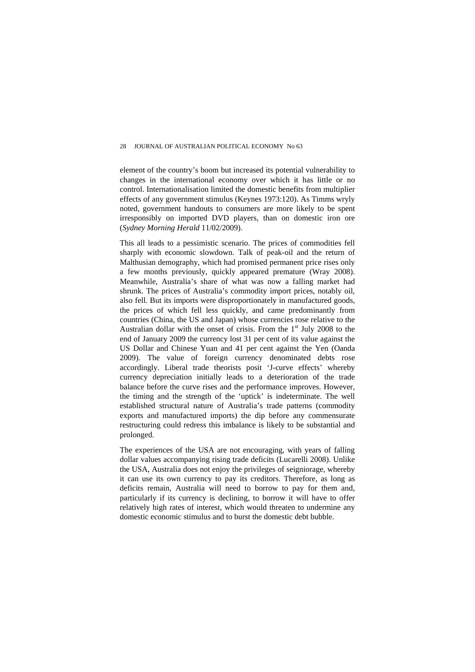element of the country's boom but increased its potential vulnerability to changes in the international economy over which it has little or no control. Internationalisation limited the domestic benefits from multiplier effects of any government stimulus (Keynes 1973:120). As Timms wryly noted, government handouts to consumers are more likely to be spent irresponsibly on imported DVD players, than on domestic iron ore (*Sydney Morning Herald* 11/02/2009).

This all leads to a pessimistic scenario. The prices of commodities fell sharply with economic slowdown. Talk of peak-oil and the return of Malthusian demography, which had promised permanent price rises only a few months previously, quickly appeared premature (Wray 2008). Meanwhile, Australia's share of what was now a falling market had shrunk. The prices of Australia's commodity import prices, notably oil, also fell. But its imports were disproportionately in manufactured goods, the prices of which fell less quickly, and came predominantly from countries (China, the US and Japan) whose currencies rose relative to the Australian dollar with the onset of crisis. From the  $1<sup>st</sup>$  July 2008 to the end of January 2009 the currency lost 31 per cent of its value against the US Dollar and Chinese Yuan and 41 per cent against the Yen (Oanda 2009). The value of foreign currency denominated debts rose accordingly. Liberal trade theorists posit 'J-curve effects' whereby currency depreciation initially leads to a deterioration of the trade balance before the curve rises and the performance improves. However, the timing and the strength of the 'uptick' is indeterminate. The well established structural nature of Australia's trade patterns (commodity exports and manufactured imports) the dip before any commensurate restructuring could redress this imbalance is likely to be substantial and prolonged.

The experiences of the USA are not encouraging, with years of falling dollar values accompanying rising trade deficits (Lucarelli 2008). Unlike the USA, Australia does not enjoy the privileges of seigniorage, whereby it can use its own currency to pay its creditors. Therefore, as long as deficits remain, Australia will need to borrow to pay for them and, particularly if its currency is declining, to borrow it will have to offer relatively high rates of interest, which would threaten to undermine any domestic economic stimulus and to burst the domestic debt bubble.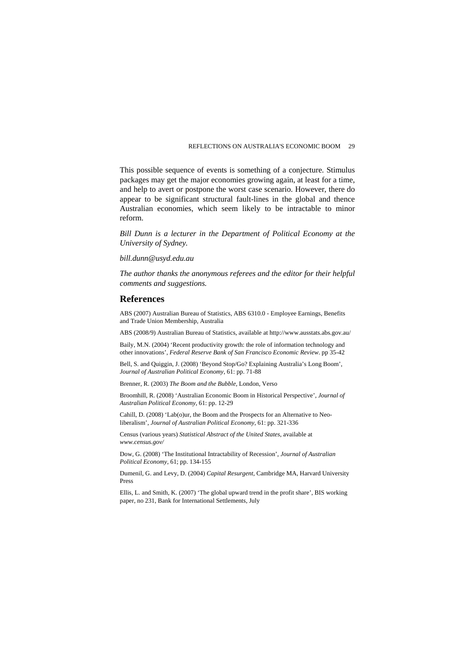This possible sequence of events is something of a conjecture. Stimulus packages may get the major economies growing again, at least for a time, and help to avert or postpone the worst case scenario. However, there do appear to be significant structural fault-lines in the global and thence Australian economies, which seem likely to be intractable to minor reform.

*Bill Dunn is a lecturer in the Department of Political Economy at the University of Sydney.* 

*bill.dunn@usyd.edu.au* 

*The author thanks the anonymous referees and the editor for their helpful comments and suggestions.* 

#### **References**

ABS (2007) Australian Bureau of Statistics, ABS 6310.0 - Employee Earnings, Benefits and Trade Union Membership, Australia

ABS (2008/9) Australian Bureau of Statistics, available at http://www.ausstats.abs.gov.au/

Baily, M.N. (2004) 'Recent productivity growth: the role of information technology and other innovations', *Federal Reserve Bank of San Francisco Economic Review*. pp 35-42

Bell, S. and Quiggin, J. (2008) 'Beyond Stop/Go? Explaining Australia's Long Boom', *Journal of Australian Political Economy*, 61: pp. 71-88

Brenner, R. (2003) *The Boom and the Bubble*, London, Verso

Broomhill, R. (2008) 'Australian Economic Boom in Historical Perspective', *Journal of Australian Political Economy*, 61: pp. 12-29

Cahill, D. (2008) 'Lab(o)ur, the Boom and the Prospects for an Alternative to Neoliberalism', *Journal of Australian Political Economy*, 61: pp. 321-336

Census (various years) *Statistical Abstract of the United States*, available at *www.census.gov/* 

Dow, G. (2008) 'The Institutional Intractability of Recession', *Journal of Australian Political Economy*, 61; pp. 134-155

Dumenil, G. and Levy, D. (2004) *Capital Resurgent*, Cambridge MA, Harvard University Press

Ellis, L. and Smith, K. (2007) 'The global upward trend in the profit share', BIS working paper, no 231, Bank for International Settlements, July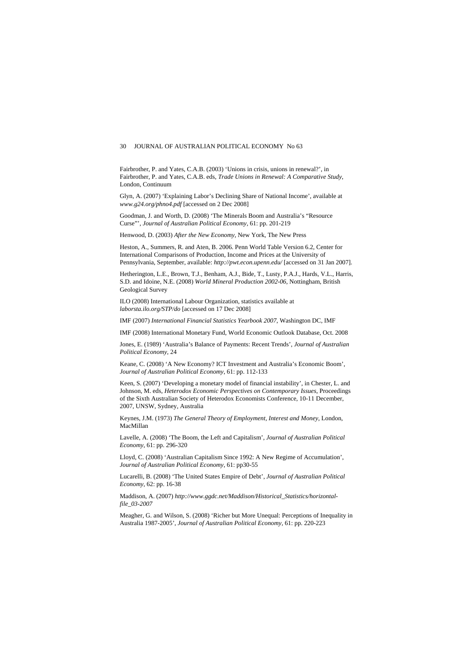#### 30 JOURNAL OF AUSTRALIAN POLITICAL ECONOMY No 63

Fairbrother, P. and Yates, C.A.B. (2003) 'Unions in crisis, unions in renewal?', in Fairbrother, P. and Yates, C.A.B. eds, *Trade Unions in Renewal: A Comparative Study*, London, Continuum

Glyn, A. (2007) 'Explaining Labor's Declining Share of National Income', available at *www.g24.org/phno4.pdf* [accessed on 2 Dec 2008]

Goodman, J. and Worth, D. (2008) 'The Minerals Boom and Australia's "Resource Curse"', *Journal of Australian Political Economy*, 61: pp. 201-219

Henwood, D. (2003) *After the New Economy*, New York, The New Press

Heston, A., Summers, R. and Aten, B. 2006. Penn World Table Version 6.2, Center for International Comparisons of Production, Income and Prices at the University of Pennsylvania, September, available: *http://pwt.econ.upenn.edu/* [accessed on 31 Jan 2007].

Hetherington, L.E., Brown, T.J., Benham, A.J., Bide, T., Lusty, P.A.J., Hards, V.L., Harris, S.D. and Idoine, N.E. (2008) *World Mineral Production 2002-06*, Nottingham, British Geological Survey

ILO (2008) International Labour Organization, statistics available at *laborsta.ilo.org/STP/do* [accessed on 17 Dec 2008]

IMF (2007) *International Financial Statistics Yearbook 2007*, Washington DC, IMF

IMF (2008) International Monetary Fund, World Economic Outlook Database, Oct. 2008

Jones, E. (1989) 'Australia's Balance of Payments: Recent Trends', *Journal of Australian Political Economy*, 24

Keane, C. (2008) 'A New Economy? ICT Investment and Australia's Economic Boom', *Journal of Australian Political Economy*, 61: pp. 112-133

Keen, S. (2007) 'Developing a monetary model of financial instability', in Chester, L. and Johnson, M. eds, *Heterodox Economic Perspectives on Contemporary Issues*, Proceedings of the Sixth Australian Society of Heterodox Economists Conference, 10-11 December, 2007, UNSW, Sydney, Australia

Keynes, J.M. (1973) *The General Theory of Employment, Interest and Money*, London, MacMillan

Lavelle, A. (2008) 'The Boom, the Left and Capitalism', *Journal of Australian Political Economy*, 61: pp. 296-320

Lloyd, C. (2008) 'Australian Capitalism Since 1992: A New Regime of Accumulation', *Journal of Australian Political Economy*, 61: pp30-55

Lucarelli, B. (2008) 'The United States Empire of Debt', *Journal of Australian Political Economy*, 62: pp. 16-38

Maddison, A. (2007) *http://www.ggdc.net/Maddison/Historical\_Statistics/horizontalfile\_03-2007* 

Meagher, G. and Wilson, S. (2008) 'Richer but More Unequal: Perceptions of Inequality in Australia 1987-2005', *Journal of Australian Political Economy*, 61: pp. 220-223